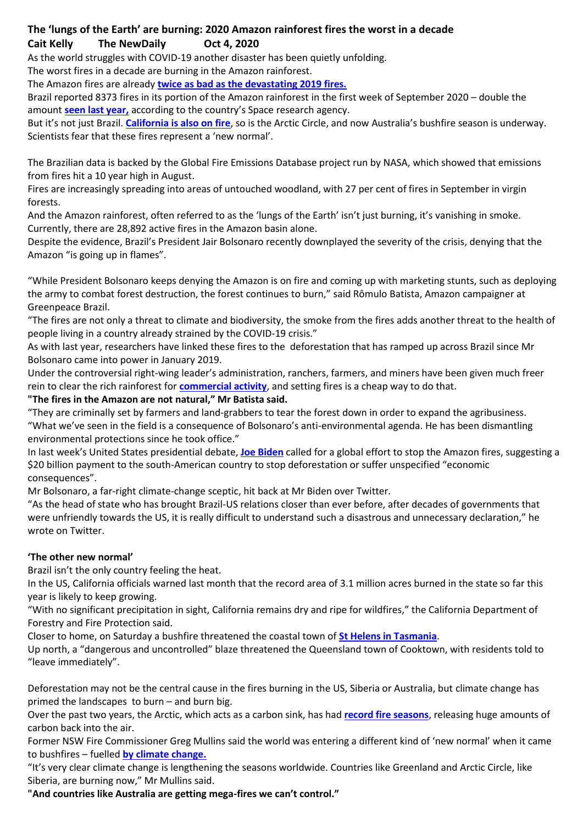## **The 'lungs of the Earth' are burning: 2020 Amazon rainforest fires the worst in a decade Cait Kelly The NewDaily Oct 4, 2020**

As the world struggles with COVID-19 another disaster has been quietly unfolding.

The worst fires in a decade are burning in the Amazon rainforest.

The Amazon fires are already **[twice as bad as the devastating 2019 fires.](https://thenewdaily.com.au/news/2019/08/26/amazon-burning-why/)**

Brazil reported 8373 fires in its portion of the Amazon rainforest in the first week of September 2020 – double the amount **[seen last year,](https://thenewdaily.com.au/news/world/2019/08/22/amazon-rainforest-fire/)** according to the country's Space research agency.

But it's not just Brazil. **[California is also on fire](https://thenewdaily.com.au/news/2020/09/15/donald-trump-joe-biden-california-fires/attachment/california-fires-4/)**, so is the Arctic Circle, and now Australia's bushfire season is underway. Scientists fear that these fires represent a 'new normal'.

The Brazilian data is backed by the Global Fire Emissions Database project run by NASA, which showed that emissions from fires hit a 10 year high in August.

Fires are increasingly spreading into areas of untouched woodland, with 27 per cent of fires in September in virgin forests.

And the Amazon rainforest, often referred to as the 'lungs of the Earth' isn't just burning, it's vanishing in smoke. Currently, there are 28,892 active fires in the Amazon basin alone.

Despite the evidence, Brazil's President Jair Bolsonaro recently downplayed the severity of the crisis, denying that the Amazon "is going up in flames".

"While President Bolsonaro keeps denying the Amazon is on fire and coming up with marketing stunts, such as deploying the army to combat forest destruction, the forest continues to burn," said Rômulo Batista, Amazon campaigner at Greenpeace Brazil.

"The fires are not only a threat to climate and biodiversity, the smoke from the fires adds another threat to the health of people living in a country already strained by the COVID-19 crisis."

As with last year, researchers have linked these fires to the deforestation that has ramped up across Brazil since Mr Bolsonaro came into power in January 2019.

Under the controversial right-wing leader's administration, ranchers, farmers, and miners have been given much freer rein to clear the rich rainforest for **[commercial activity](https://www.reuters.com/article/us-brazil-environment-fires-exclusive/exclusive-brazil-amazon-fires-likely-worst-in-10-years-august-data-incomplete-government-researcher-says-idUSKBN25T349)**, and setting fires is a cheap way to do that.

#### **"The fires in the Amazon are not natural," Mr Batista said.**

"They are criminally set by farmers and land-grabbers to tear the forest down in order to expand the agribusiness. "What we've seen in the field is a consequence of Bolsonaro's anti-environmental agenda. He has been dismantling environmental protections since he took office."

In last week's United States presidential debate, **[Joe Biden](https://thenewdaily.com.au/news/world/2020/09/30/joe-biden-releases-tax-returns/)** called for a global effort to stop the Amazon fires, suggesting a \$20 billion payment to the south-American country to stop deforestation or suffer unspecified "economic consequences".

Mr Bolsonaro, a far-right climate-change sceptic, hit back at Mr Biden over Twitter.

"As the head of state who has brought Brazil-US relations closer than ever before, after decades of governments that were unfriendly towards the US, it is really difficult to understand such a disastrous and unnecessary declaration," he wrote on Twitter.

#### **'The other new normal'**

Brazil isn't the only country feeling the heat.

In the US, California officials warned last month that the record area of 3.1 million acres burned in the state so far this year is likely to keep growing.

"With no significant precipitation in sight, California remains dry and ripe for wildfires," the California Department of Forestry and Fire Protection said.

Closer to home, on Saturday a bushfire threatened the coastal town of **[St Helens in Tasmania](https://www.abc.net.au/news/2020-10-03/bushfire-emergency-warning-for-st-helens-tasmania/12729198)**.

Up north, a "dangerous and uncontrolled" blaze threatened the Queensland town of Cooktown, with residents told to "leave immediately".

Deforestation may not be the central cause in the fires burning in the US, Siberia or Australia, but climate change has primed the landscapes to burn – and burn big.

Over the past two years, the Arctic, which acts as a carbon sink, has had **[record fire seasons](https://www.nature.com/articles/d41586-020-02568-y)**, releasing huge amounts of carbon back into the air.

Former NSW Fire Commissioner Greg Mullins said the world was entering a different kind of 'new normal' when it came to bushfires – fuelled **[by climate change.](https://thenewdaily.com.au/news/2020/07/31/bushfire-levy-fossil-fuel/)**

"It's very clear climate change is lengthening the seasons worldwide. Countries like Greenland and Arctic Circle, like Siberia, are burning now," Mr Mullins said.

**"And countries like Australia are getting mega-fires we can't control."**